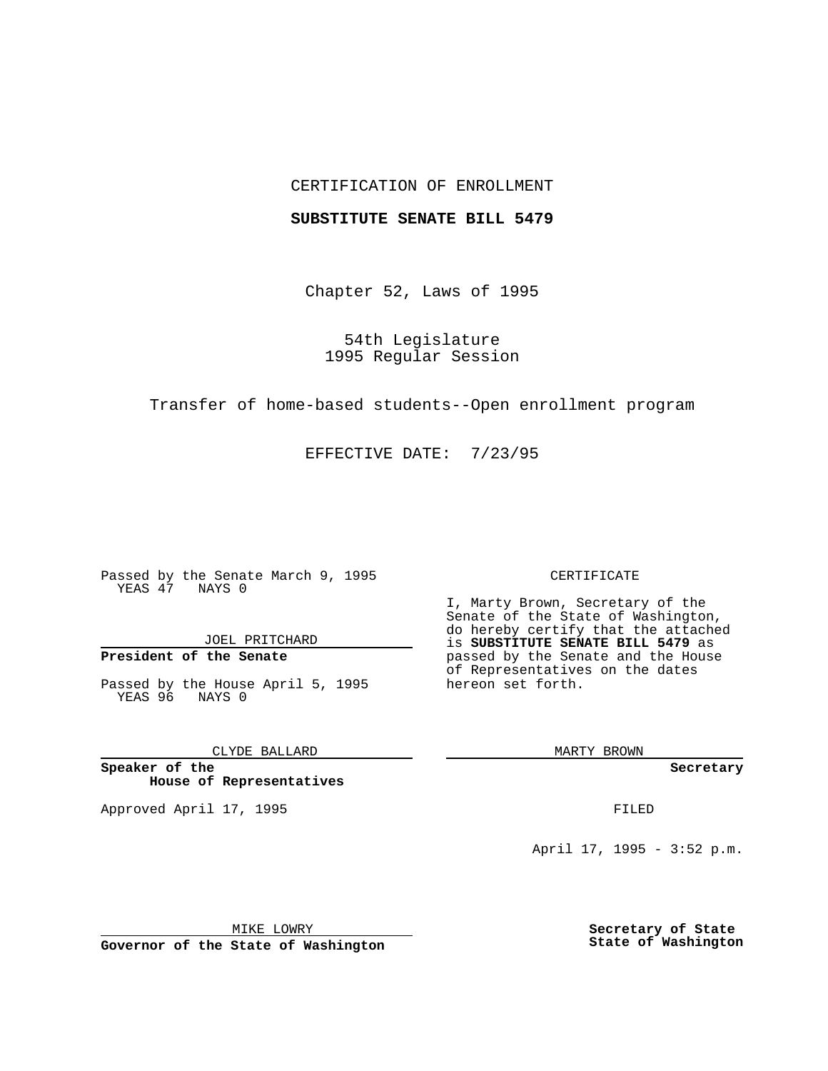## CERTIFICATION OF ENROLLMENT

### **SUBSTITUTE SENATE BILL 5479**

Chapter 52, Laws of 1995

54th Legislature 1995 Regular Session

Transfer of home-based students--Open enrollment program

EFFECTIVE DATE: 7/23/95

Passed by the Senate March 9, 1995 YEAS 47 NAYS 0

JOEL PRITCHARD

# **President of the Senate**

Passed by the House April 5, 1995 YEAS 96 NAYS 0

CLYDE BALLARD

**Speaker of the House of Representatives**

Approved April 17, 1995 **FILED** 

#### CERTIFICATE

I, Marty Brown, Secretary of the Senate of the State of Washington, do hereby certify that the attached is **SUBSTITUTE SENATE BILL 5479** as passed by the Senate and the House of Representatives on the dates hereon set forth.

MARTY BROWN

**Secretary**

April 17, 1995 - 3:52 p.m.

MIKE LOWRY **Governor of the State of Washington** **Secretary of State State of Washington**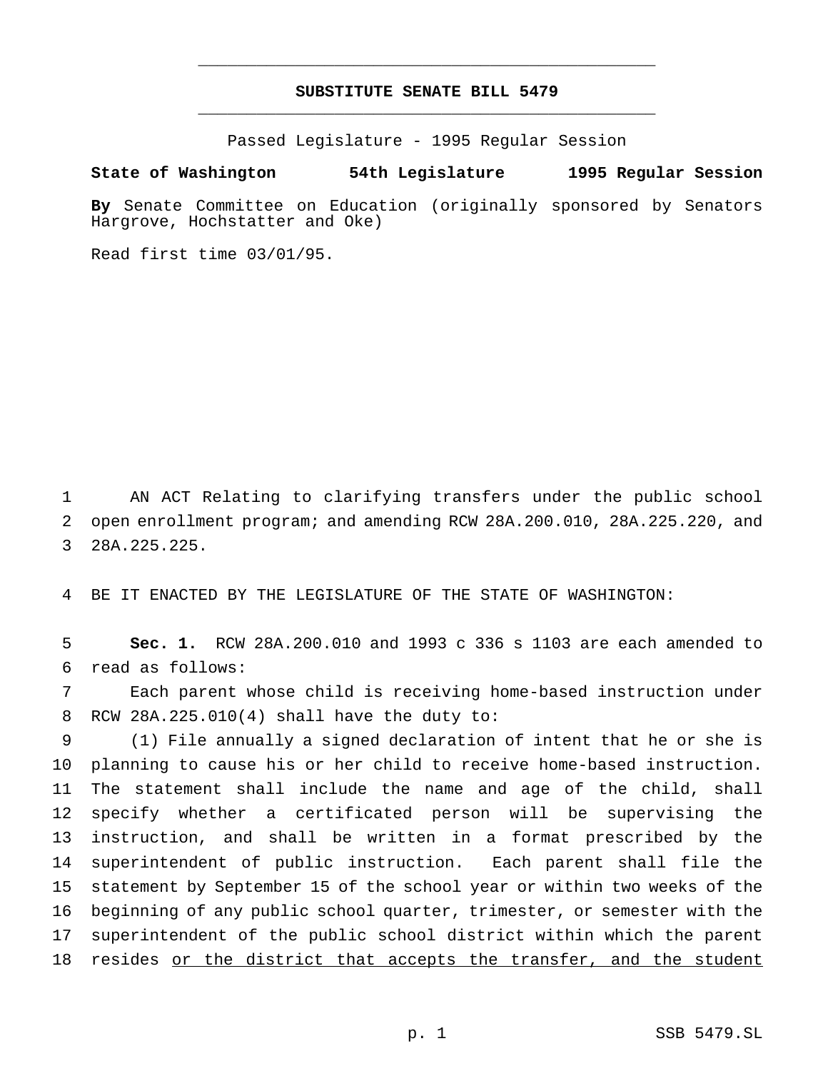## **SUBSTITUTE SENATE BILL 5479** \_\_\_\_\_\_\_\_\_\_\_\_\_\_\_\_\_\_\_\_\_\_\_\_\_\_\_\_\_\_\_\_\_\_\_\_\_\_\_\_\_\_\_\_\_\_\_

\_\_\_\_\_\_\_\_\_\_\_\_\_\_\_\_\_\_\_\_\_\_\_\_\_\_\_\_\_\_\_\_\_\_\_\_\_\_\_\_\_\_\_\_\_\_\_

Passed Legislature - 1995 Regular Session

## **State of Washington 54th Legislature 1995 Regular Session**

**By** Senate Committee on Education (originally sponsored by Senators Hargrove, Hochstatter and Oke)

Read first time 03/01/95.

 AN ACT Relating to clarifying transfers under the public school open enrollment program; and amending RCW 28A.200.010, 28A.225.220, and 28A.225.225.

BE IT ENACTED BY THE LEGISLATURE OF THE STATE OF WASHINGTON:

 **Sec. 1.** RCW 28A.200.010 and 1993 c 336 s 1103 are each amended to read as follows:

 Each parent whose child is receiving home-based instruction under RCW 28A.225.010(4) shall have the duty to:

 (1) File annually a signed declaration of intent that he or she is planning to cause his or her child to receive home-based instruction. The statement shall include the name and age of the child, shall specify whether a certificated person will be supervising the instruction, and shall be written in a format prescribed by the superintendent of public instruction. Each parent shall file the statement by September 15 of the school year or within two weeks of the beginning of any public school quarter, trimester, or semester with the superintendent of the public school district within which the parent 18 resides or the district that accepts the transfer, and the student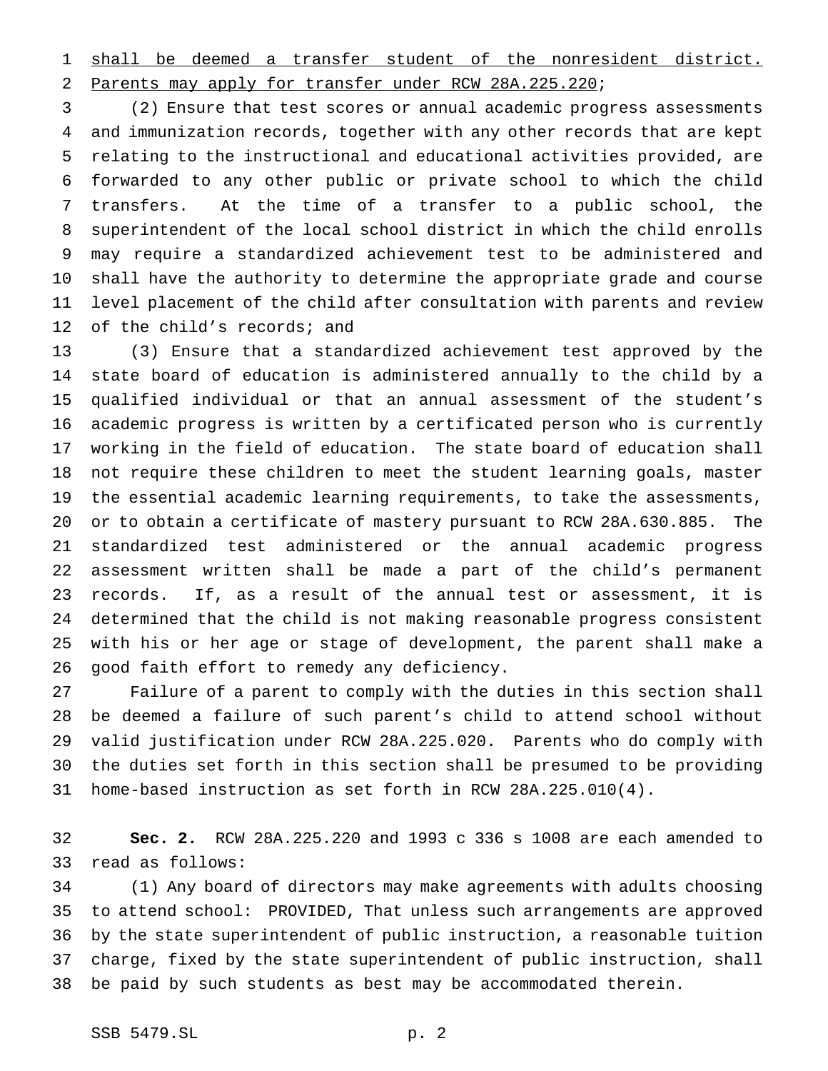shall be deemed a transfer student of the nonresident district. Parents may apply for transfer under RCW 28A.225.220;

 (2) Ensure that test scores or annual academic progress assessments and immunization records, together with any other records that are kept relating to the instructional and educational activities provided, are forwarded to any other public or private school to which the child transfers. At the time of a transfer to a public school, the superintendent of the local school district in which the child enrolls may require a standardized achievement test to be administered and shall have the authority to determine the appropriate grade and course level placement of the child after consultation with parents and review of the child's records; and

 (3) Ensure that a standardized achievement test approved by the state board of education is administered annually to the child by a qualified individual or that an annual assessment of the student's academic progress is written by a certificated person who is currently working in the field of education. The state board of education shall not require these children to meet the student learning goals, master the essential academic learning requirements, to take the assessments, or to obtain a certificate of mastery pursuant to RCW 28A.630.885. The standardized test administered or the annual academic progress assessment written shall be made a part of the child's permanent records. If, as a result of the annual test or assessment, it is determined that the child is not making reasonable progress consistent with his or her age or stage of development, the parent shall make a good faith effort to remedy any deficiency.

 Failure of a parent to comply with the duties in this section shall be deemed a failure of such parent's child to attend school without valid justification under RCW 28A.225.020. Parents who do comply with the duties set forth in this section shall be presumed to be providing home-based instruction as set forth in RCW 28A.225.010(4).

 **Sec. 2.** RCW 28A.225.220 and 1993 c 336 s 1008 are each amended to read as follows:

 (1) Any board of directors may make agreements with adults choosing to attend school: PROVIDED, That unless such arrangements are approved by the state superintendent of public instruction, a reasonable tuition charge, fixed by the state superintendent of public instruction, shall be paid by such students as best may be accommodated therein.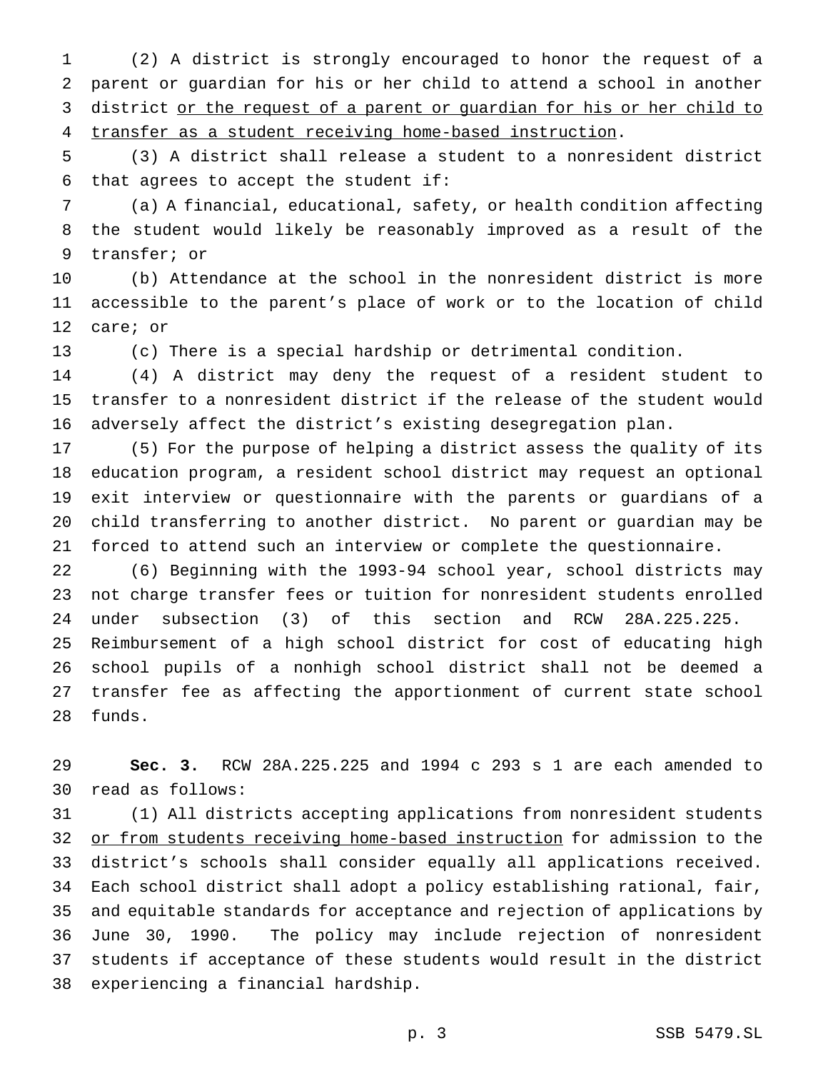(2) A district is strongly encouraged to honor the request of a parent or guardian for his or her child to attend a school in another 3 district or the request of a parent or guardian for his or her child to transfer as a student receiving home-based instruction.

 (3) A district shall release a student to a nonresident district that agrees to accept the student if:

 (a) A financial, educational, safety, or health condition affecting the student would likely be reasonably improved as a result of the transfer; or

 (b) Attendance at the school in the nonresident district is more accessible to the parent's place of work or to the location of child care; or

(c) There is a special hardship or detrimental condition.

 (4) A district may deny the request of a resident student to transfer to a nonresident district if the release of the student would adversely affect the district's existing desegregation plan.

 (5) For the purpose of helping a district assess the quality of its education program, a resident school district may request an optional exit interview or questionnaire with the parents or guardians of a child transferring to another district. No parent or guardian may be forced to attend such an interview or complete the questionnaire.

 (6) Beginning with the 1993-94 school year, school districts may not charge transfer fees or tuition for nonresident students enrolled under subsection (3) of this section and RCW 28A.225.225. Reimbursement of a high school district for cost of educating high school pupils of a nonhigh school district shall not be deemed a transfer fee as affecting the apportionment of current state school funds.

 **Sec. 3.** RCW 28A.225.225 and 1994 c 293 s 1 are each amended to read as follows:

 (1) All districts accepting applications from nonresident students 32 or from students receiving home-based instruction for admission to the district's schools shall consider equally all applications received. Each school district shall adopt a policy establishing rational, fair, and equitable standards for acceptance and rejection of applications by June 30, 1990. The policy may include rejection of nonresident students if acceptance of these students would result in the district experiencing a financial hardship.